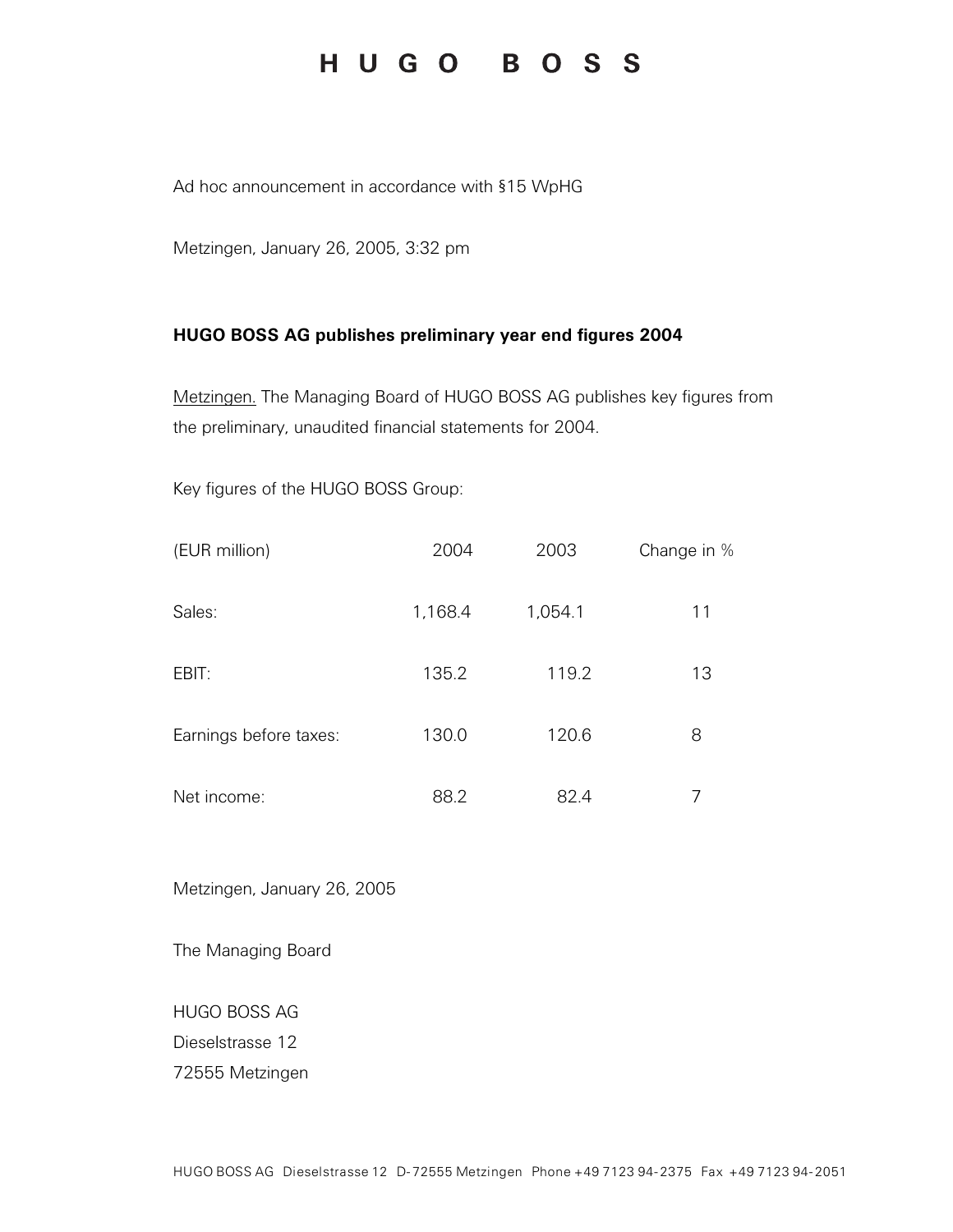## HUGO BOSS

Ad hoc announcement in accordance with §15 WpHG

Metzingen, January 26, 2005, 3:32 pm

## **HUGO BOSS AG publishes preliminary year end figures 2004**

Metzingen. The Managing Board of HUGO BOSS AG publishes key figures from the preliminary, unaudited financial statements for 2004.

Key figures of the HUGO BOSS Group:

| (EUR million)          | 2004    | 2003    | Change in % |
|------------------------|---------|---------|-------------|
| Sales:                 | 1,168.4 | 1,054.1 | 11          |
| EBIT:                  | 135.2   | 119.2   | 13          |
| Earnings before taxes: | 130.0   | 120.6   | 8           |
| Net income:            | 88.2    | 82.4    | 7           |

Metzingen, January 26, 2005

The Managing Board

HUGO BOSS AG

Dieselstrasse 12

72555 Metzingen